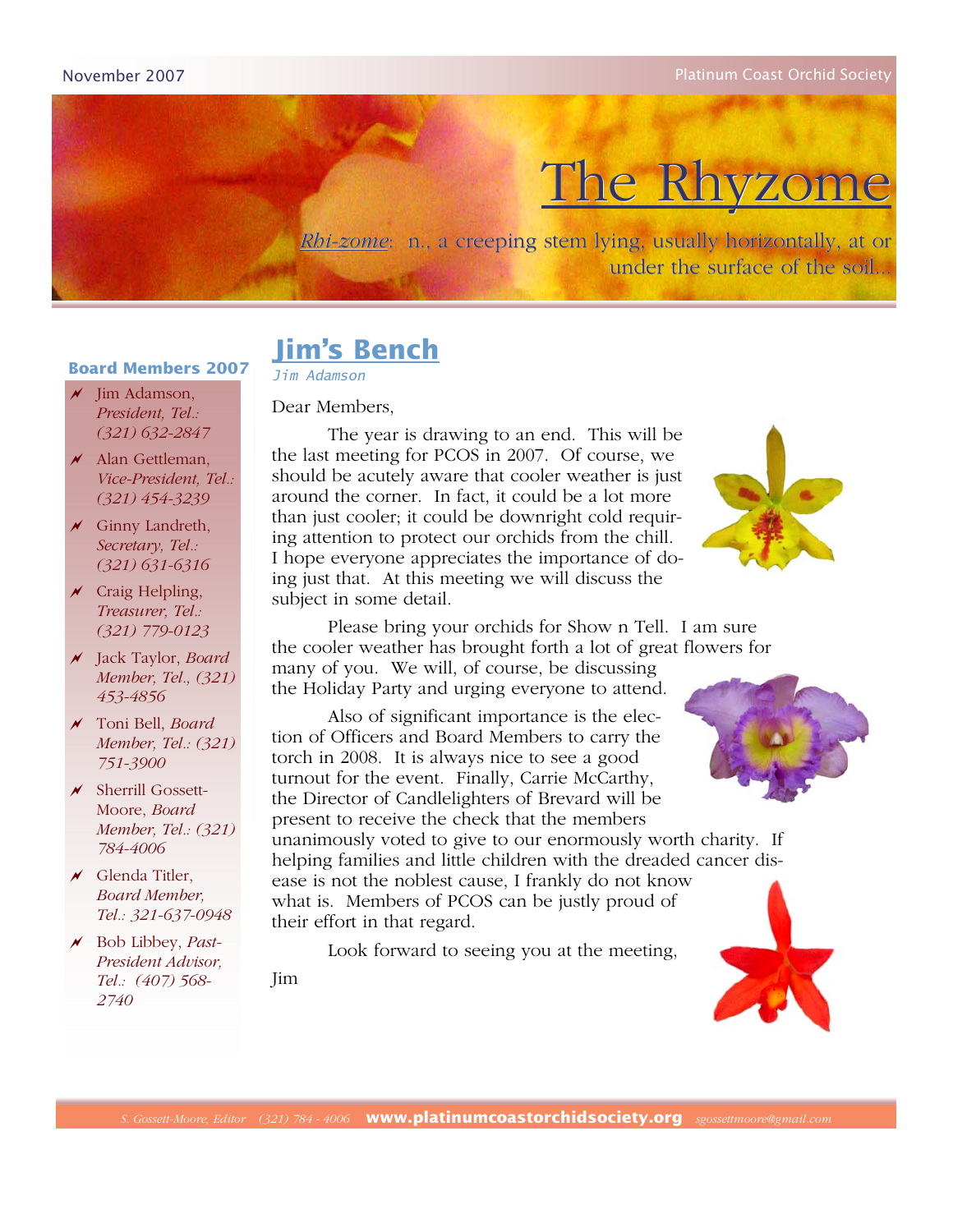# The Rhyzome

*Rhi-zome*: n., a creeping stem lying, usually horizontally, at or under the surface of the soil...

# **Jim's Bench**

*Jim Adamson* 

Dear Members,

#### $\sqrt{\ }$  Jim Adamson, *President, Tel.: (321) 632-2847*

 $\overline{\mathcal{M}}$  Alan Gettleman, *Vice-President, Tel.: (321) 454-3239*

**Board Members 2007**

- $\overline{\mathscr{N}}$  Ginny Landreth, *Secretary, Tel.: (321) 631-6316*
- $\times$  Craig Helpling, *Treasurer, Tel.: (321) 779-0123*
- ! Jack Taylor, *Board Member, Tel., (321) 453-4856*
- ! Toni Bell, *Board Member, Tel.: (321) 751-3900*
- $\times$  Sherrill Gossett-Moore, *Board Member, Tel.: (321) 784-4006*
- $\overline{\mathcal{M}}$  Glenda Titler, *Board Member, Tel.: 321-637-0948*
- ! Bob Libbey, *Past-President Advisor, Tel.: (407) 568- 2740*

Jim

 The year is drawing to an end. This will be the last meeting for PCOS in 2007. Of course, we should be acutely aware that cooler weather is just around the corner. In fact, it could be a lot more than just cooler; it could be downright cold requiring attention to protect our orchids from the chill. I hope everyone appreciates the importance of doing just that. At this meeting we will discuss the subject in some detail.



 Please bring your orchids for Show n Tell. I am sure the cooler weather has brought forth a lot of great flowers for

many of you. We will, of course, be discussing the Holiday Party and urging everyone to attend.

 Also of significant importance is the election of Officers and Board Members to carry the torch in 2008. It is always nice to see a good turnout for the event. Finally, Carrie McCarthy, the Director of Candlelighters of Brevard will be present to receive the check that the members

unanimously voted to give to our enormously worth charity. If helping families and little children with the dreaded cancer disease is not the noblest cause, I frankly do not know what is. Members of PCOS can be justly proud of their effort in that regard.

Look forward to seeing you at the meeting,



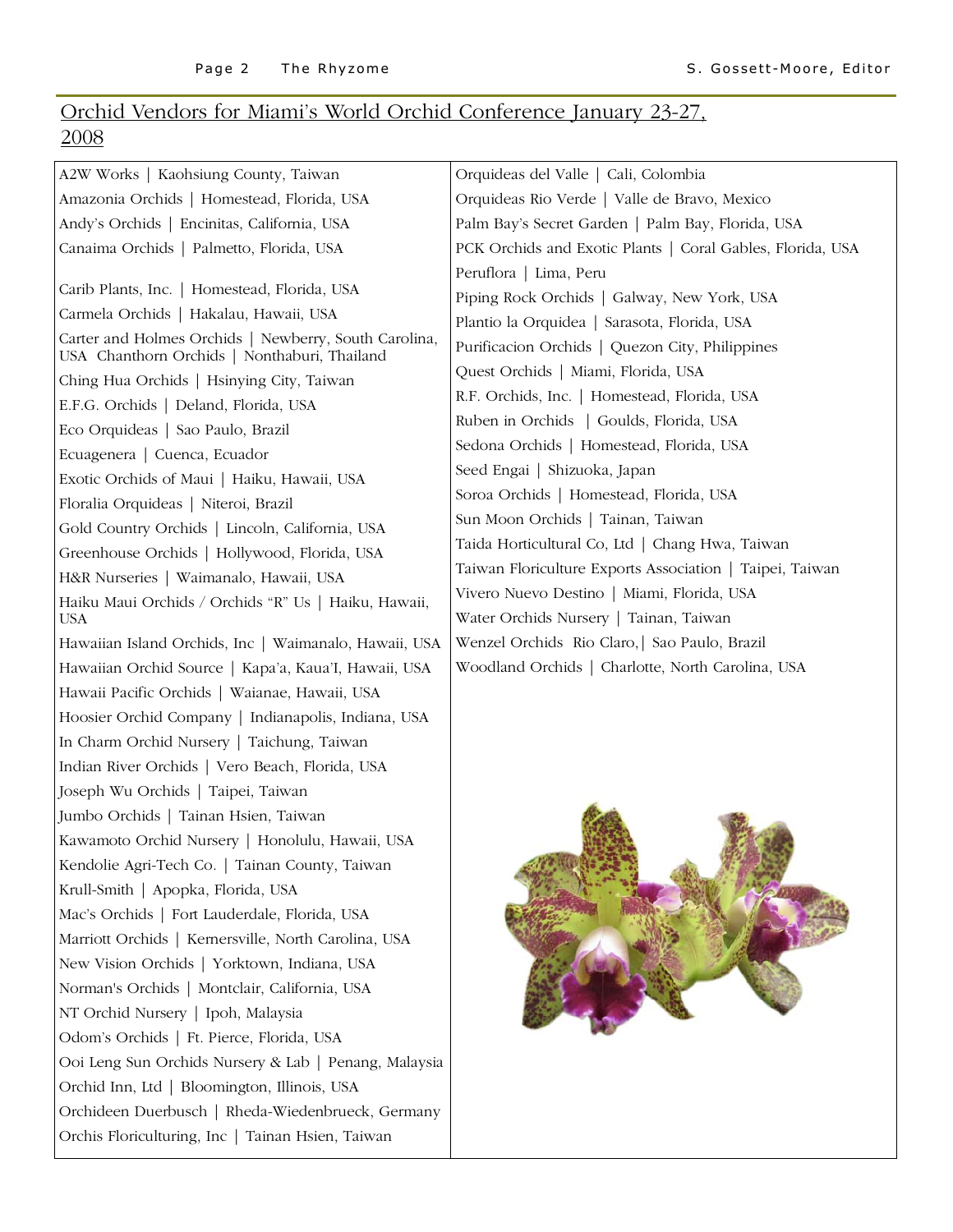### Orchid Vendors for Miami's World Orchid Conference January 23-27, 2008

| A2W Works   Kaohsiung County, Taiwan                                                                  | Orquideas del Valle   Cali, Colombia                                                 |
|-------------------------------------------------------------------------------------------------------|--------------------------------------------------------------------------------------|
| Amazonia Orchids   Homestead, Florida, USA                                                            | Orquideas Rio Verde   Valle de Bravo, Mexico                                         |
| Andy's Orchids   Encinitas, California, USA                                                           | Palm Bay's Secret Garden   Palm Bay, Florida, USA                                    |
| Canaima Orchids   Palmetto, Florida, USA                                                              | PCK Orchids and Exotic Plants   Coral Gables, Florida, USA                           |
|                                                                                                       | Peruflora   Lima, Peru                                                               |
| Carib Plants, Inc.   Homestead, Florida, USA                                                          | Piping Rock Orchids   Galway, New York, USA                                          |
| Carmela Orchids   Hakalau, Hawaii, USA                                                                | Plantio la Orquidea   Sarasota, Florida, USA                                         |
| Carter and Holmes Orchids   Newberry, South Carolina,<br>USA Chanthorn Orchids   Nonthaburi, Thailand | Purificacion Orchids   Quezon City, Philippines                                      |
| Ching Hua Orchids   Hsinying City, Taiwan                                                             | Quest Orchids   Miami, Florida, USA                                                  |
| E.F.G. Orchids   Deland, Florida, USA                                                                 | R.F. Orchids, Inc.   Homestead, Florida, USA                                         |
| Eco Orquideas   Sao Paulo, Brazil                                                                     | Ruben in Orchids   Goulds, Florida, USA                                              |
| Ecuagenera   Cuenca, Ecuador                                                                          | Sedona Orchids   Homestead, Florida, USA                                             |
| Exotic Orchids of Maui   Haiku, Hawaii, USA                                                           | Seed Engai   Shizuoka, Japan                                                         |
| Floralia Orquideas   Niteroi, Brazil                                                                  | Soroa Orchids   Homestead, Florida, USA                                              |
| Gold Country Orchids   Lincoln, California, USA                                                       | Sun Moon Orchids   Tainan, Taiwan                                                    |
| Greenhouse Orchids   Hollywood, Florida, USA                                                          | Taida Horticultural Co, Ltd   Chang Hwa, Taiwan                                      |
| H&R Nurseries   Waimanalo, Hawaii, USA                                                                | Taiwan Floriculture Exports Association   Taipei, Taiwan                             |
| Haiku Maui Orchids / Orchids "R" Us   Haiku, Hawaii,<br><b>USA</b>                                    | Vivero Nuevo Destino   Miami, Florida, USA<br>Water Orchids Nursery   Tainan, Taiwan |
| Hawaiian Island Orchids, Inc   Waimanalo, Hawaii, USA                                                 | Wenzel Orchids Rio Claro, Sao Paulo, Brazil                                          |
| Hawaiian Orchid Source   Kapa'a, Kaua'I, Hawaii, USA                                                  | Woodland Orchids   Charlotte, North Carolina, USA                                    |
| Hawaii Pacific Orchids   Waianae, Hawaii, USA                                                         |                                                                                      |
| Hoosier Orchid Company   Indianapolis, Indiana, USA                                                   |                                                                                      |
| In Charm Orchid Nursery   Taichung, Taiwan                                                            |                                                                                      |
| Indian River Orchids   Vero Beach, Florida, USA                                                       |                                                                                      |
| Joseph Wu Orchids   Taipei, Taiwan                                                                    |                                                                                      |
| Jumbo Orchids   Tainan Hsien, Taiwan                                                                  |                                                                                      |
| Kawamoto Orchid Nursery   Honolulu, Hawaii, USA                                                       |                                                                                      |
| Kendolie Agri-Tech Co.   Tainan County, Taiwan                                                        |                                                                                      |
| Krull-Smith   Apopka, Florida, USA                                                                    |                                                                                      |
| Mac's Orchids   Fort Lauderdale, Florida, USA                                                         |                                                                                      |
| Marriott Orchids   Kernersville, North Carolina, USA                                                  |                                                                                      |
| New Vision Orchids   Yorktown, Indiana, USA                                                           |                                                                                      |
| Norman's Orchids   Montclair, California, USA                                                         |                                                                                      |
| NT Orchid Nursery   Ipoh, Malaysia                                                                    |                                                                                      |
| Odom's Orchids   Ft. Pierce, Florida, USA                                                             |                                                                                      |
| Ooi Leng Sun Orchids Nursery & Lab   Penang, Malaysia                                                 |                                                                                      |
| Orchid Inn, Ltd   Bloomington, Illinois, USA                                                          |                                                                                      |
| Orchideen Duerbusch   Rheda-Wiedenbrueck, Germany                                                     |                                                                                      |
| Orchis Floriculturing, Inc   Tainan Hsien, Taiwan                                                     |                                                                                      |
|                                                                                                       |                                                                                      |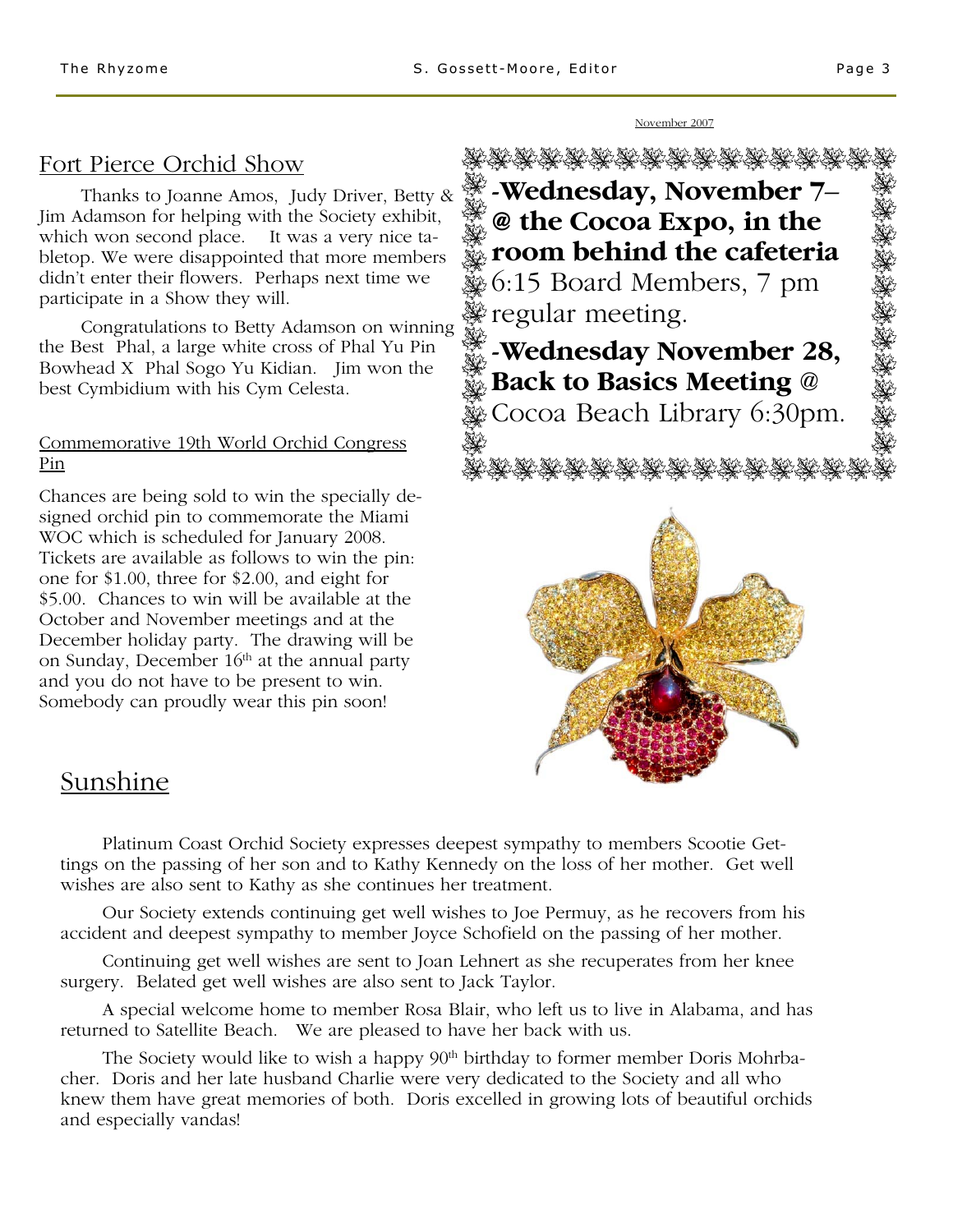#### Fort Pierce Orchid Show

 Thanks to Joanne Amos, Judy Driver, Betty & Jim Adamson for helping with the Society exhibit, which won second place. It was a very nice tabletop. We were disappointed that more members didn't enter their flowers. Perhaps next time we participate in a Show they will.

 Congratulations to Betty Adamson on winning the Best Phal, a large white cross of Phal Yu Pin Bowhead X Phal Sogo Yu Kidian. Jim won the best Cymbidium with his Cym Celesta.

#### Commemorative 19th World Orchid Congress Pin

Chances are being sold to win the specially designed orchid pin to commemorate the Miami WOC which is scheduled for January 2008. Tickets are available as follows to win the pin: one for \$1.00, three for \$2.00, and eight for \$5.00. Chances to win will be available at the October and November meetings and at the December holiday party. The drawing will be on Sunday, December 16<sup>th</sup> at the annual party and you do not have to be present to win. Somebody can proudly wear this pin soon!



November 2007

#### Sunshine

 Platinum Coast Orchid Society expresses deepest sympathy to members Scootie Gettings on the passing of her son and to Kathy Kennedy on the loss of her mother. Get well wishes are also sent to Kathy as she continues her treatment.

 Our Society extends continuing get well wishes to Joe Permuy, as he recovers from his accident and deepest sympathy to member Joyce Schofield on the passing of her mother.

 Continuing get well wishes are sent to Joan Lehnert as she recuperates from her knee surgery. Belated get well wishes are also sent to Jack Taylor.

 A special welcome home to member Rosa Blair, who left us to live in Alabama, and has returned to Satellite Beach. We are pleased to have her back with us.

The Society would like to wish a happy  $90<sup>th</sup>$  birthday to former member Doris Mohrbacher. Doris and her late husband Charlie were very dedicated to the Society and all who knew them have great memories of both. Doris excelled in growing lots of beautiful orchids and especially vandas!